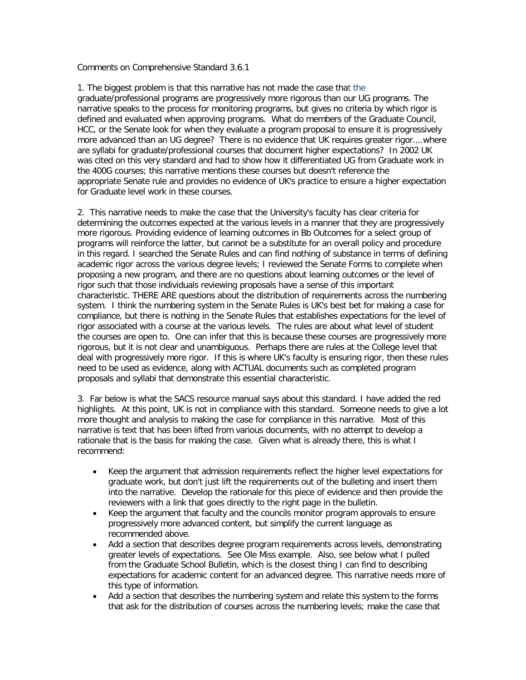Comments on Comprehensive Standard 3.6.1

1. The biggest problem is that this narrative has not made the case that the graduate/professional programs are progressively more rigorous than our UG programs. The narrative speaks to the process for monitoring programs, but gives no criteria by which rigor is defined and evaluated when approving programs. What do members of the Graduate Council, HCC, or the Senate look for when they evaluate a program proposal to ensure it is progressively more advanced than an UG degree? There is no evidence that UK requires greater rigor....where are syllabi for graduate/professional courses that document higher expectations? In 2002 UK was cited on this very standard and had to show how it differentiated UG from Graduate work in the 400G courses; this narrative mentions these courses but doesn't reference the appropriate Senate rule and provides no evidence of UK's practice to ensure a higher expectation for Graduate level work in these courses.

2. This narrative needs to make the case that the University's faculty has clear criteria for determining the outcomes expected at the various levels in a manner that they are progressively more rigorous. Providing evidence of learning outcomes in Bb Outcomes for a select group of programs will reinforce the latter, but cannot be a substitute for an overall policy and procedure in this regard. I searched the Senate Rules and can find nothing of substance in terms of defining academic rigor across the various degree levels; I reviewed the Senate Forms to complete when proposing a new program, and there are no questions about learning outcomes or the level of rigor such that those individuals reviewing proposals have a sense of this important characteristic. THERE ARE questions about the distribution of requirements across the numbering system. I think the numbering system in the Senate Rules is UK's best bet for making a case for compliance, but there is nothing in the Senate Rules that establishes expectations for the level of rigor associated with a course at the various levels. The rules are about what level of student the courses are open to. One can infer that this is because these courses are progressively more rigorous, but it is not clear and unambiguous. Perhaps there are rules at the College level that deal with progressively more rigor. If this is where UK's faculty is ensuring rigor, then these rules need to be used as evidence, along with ACTUAL documents such as completed program proposals and syllabi that demonstrate this essential characteristic.

3. Far below is what the SACS resource manual says about this standard. I have added the red highlights. At this point, UK is not in compliance with this standard. Someone needs to give a lot more thought and analysis to making the case for compliance in this narrative. Most of this narrative is text that has been lifted from various documents, with no attempt to develop a rationale that is the basis for making the case. Given what is already there, this is what I recommend:

- Keep the argument that admission requirements reflect the higher level expectations for graduate work, but don't just lift the requirements out of the bulleting and insert them into the narrative. Develop the rationale for this piece of evidence and then provide the reviewers with a link that goes directly to the right page in the bulletin.
- Keep the argument that faculty and the councils monitor program approvals to ensure progressively more advanced content, but simplify the current language as recommended above.
- Add a section that describes degree program requirements across levels, demonstrating greater levels of expectations. See Ole Miss example. Also, see below what I pulled from the Graduate School Bulletin, which is the closest thing I can find to describing expectations for academic content for an advanced degree. This narrative needs more of this type of information.
- Add a section that describes the numbering system and relate this system to the forms that ask for the distribution of courses across the numbering levels; make the case that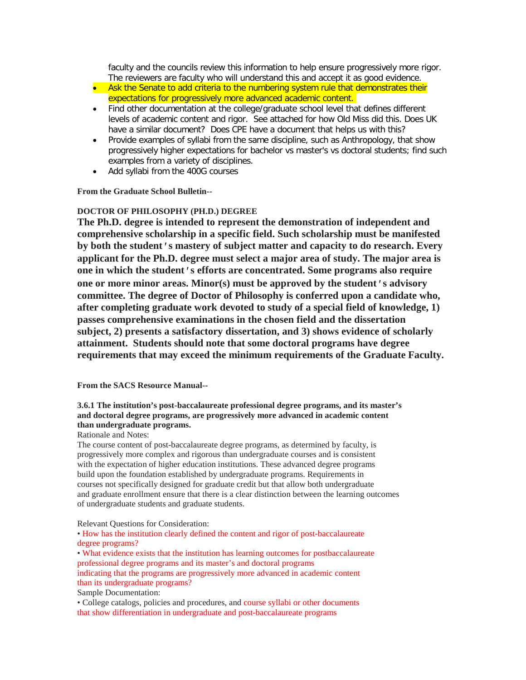faculty and the councils review this information to help ensure progressively more rigor. The reviewers are faculty who will understand this and accept it as good evidence.

- Ask the Senate to add criteria to the numbering system rule that demonstrates their expectations for progressively more advanced academic content.
- Find other documentation at the college/graduate school level that defines different levels of academic content and rigor. See attached for how Old Miss did this. Does UK have a similar document? Does CPE have a document that helps us with this?
- Provide examples of syllabi from the same discipline, such as Anthropology, that show progressively higher expectations for bachelor vs master's vs doctoral students; find such examples from a variety of disciplines.
- Add syllabi from the 400G courses

**From the Graduate School Bulletin--**

## **DOCTOR OF PHILOSOPHY (PH.D.) DEGREE**

**The Ph.D. degree is intended to represent the demonstration of independent and comprehensive scholarship in a specific field. Such scholarship must be manifested by both the studentʹs mastery of subject matter and capacity to do research. Every applicant for the Ph.D. degree must select a major area of study. The major area is one in which the studentʹs efforts are concentrated. Some programs also require one or more minor areas. Minor(s) must be approved by the studentʹs advisory committee. The degree of Doctor of Philosophy is conferred upon a candidate who, after completing graduate work devoted to study of a special field of knowledge, 1) passes comprehensive examinations in the chosen field and the dissertation subject, 2) presents a satisfactory dissertation, and 3) shows evidence of scholarly attainment. Students should note that some doctoral programs have degree requirements that may exceed the minimum requirements of the Graduate Faculty.**

## **From the SACS Resource Manual--**

## **3.6.1 The institution's post-baccalaureate professional degree programs, and its master's and doctoral degree programs, are progressively more advanced in academic content than undergraduate programs.**

Rationale and Notes:

The course content of post-baccalaureate degree programs, as determined by faculty, is progressively more complex and rigorous than undergraduate courses and is consistent with the expectation of higher education institutions. These advanced degree programs build upon the foundation established by undergraduate programs. Requirements in courses not specifically designed for graduate credit but that allow both undergraduate and graduate enrollment ensure that there is a clear distinction between the learning outcomes of undergraduate students and graduate students.

Relevant Questions for Consideration:

• How has the institution clearly defined the content and rigor of post-baccalaureate degree programs?

• What evidence exists that the institution has learning outcomes for postbaccalaureate professional degree programs and its master's and doctoral programs indicating that the programs are progressively more advanced in academic content than its undergraduate programs?

Sample Documentation:

• College catalogs, policies and procedures, and course syllabi or other documents that show differentiation in undergraduate and post-baccalaureate programs